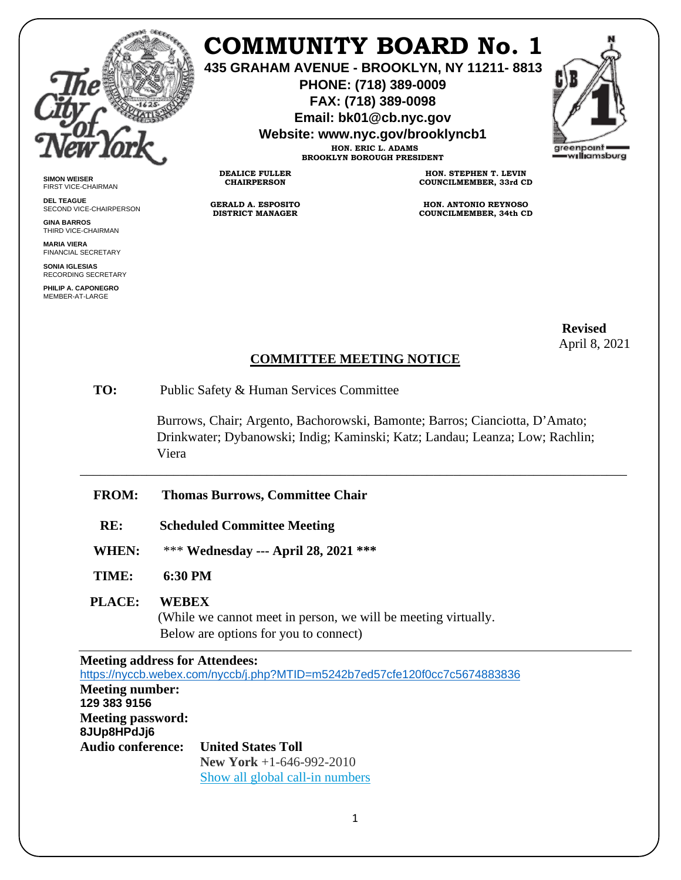

**SIMON WEISER** FIRST VICE-CHAIRMAN **DEL TEAGUE**

**GINA BARROS** THIRD VICE-CHAIRMAN **MARIA VIERA** FINANCIAL SECRETARY **SONIA IGLESIAS** RECORDING SECRETARY **PHILIP A. CAPONEGRO** MEMBER-AT-LARGE

SECOND VICE-CHAIRPERSON

## **COMMUNITY BOARD No. 1**

**435 GRAHAM AVENUE - BROOKLYN, NY 11211- 8813**

**PHONE: (718) 389-0009 FAX: (718) 389-0098**

**Email: bk01@cb.nyc.gov**

**Website: www.nyc.gov/brooklyncb1**

**HON. ERIC L. ADAMS BROOKLYN BOROUGH PRESIDENT**

**DEALICE FULLER CHAIRPERSON**

**GERALD A. ESPOSITO DISTRICT MANAGER**

**HON. STEPHEN T. LEVIN COUNCILMEMBER, 33rd CD**

**HON. ANTONIO REYNOSO COUNCILMEMBER, 34th CD**

 **Revised** April 8, 2021

## **COMMITTEE MEETING NOTICE**

\_\_\_\_\_\_\_\_\_\_\_\_\_\_\_\_\_\_\_\_\_\_\_\_\_\_\_\_\_\_\_\_\_\_\_\_\_\_\_\_\_\_\_\_\_\_\_\_\_\_\_\_\_\_\_\_\_\_\_\_\_\_\_\_\_\_\_\_\_\_\_\_\_\_\_\_\_\_\_\_\_\_

**TO:** Public Safety & Human Services Committee

 Burrows, Chair; Argento, Bachorowski, Bamonte; Barros; Cianciotta, D'Amato; Drinkwater; Dybanowski; Indig; Kaminski; Katz; Landau; Leanza; Low; Rachlin; Viera

- **FROM: Thomas Burrows, Committee Chair**
- **RE: Scheduled Committee Meeting**
- **WHEN:** \*\*\* **Wednesday --- April 28, 2021 \*\*\***
- **TIME: 6:30 PM**

## **PLACE: WEBEX**

(While we cannot meet in person, we will be meeting virtually. Below are options for you to connect)

**Meeting address for Attendees:** <https://nyccb.webex.com/nyccb/j.php?MTID=m5242b7ed57cfe120f0cc7c5674883836> **Meeting number: 129 383 9156 Meeting password: 8JUp8HPdJj6 Audio conference: United States Toll New York** +1-646-992-2010 [Show all global call-in numbers](https://nyccb.webex.com/cmp3300/webcomponents/widget/globalcallin/globalcallin.do?siteurl=nyccb&serviceType=EC&eventID=996974567&tollFree=0)